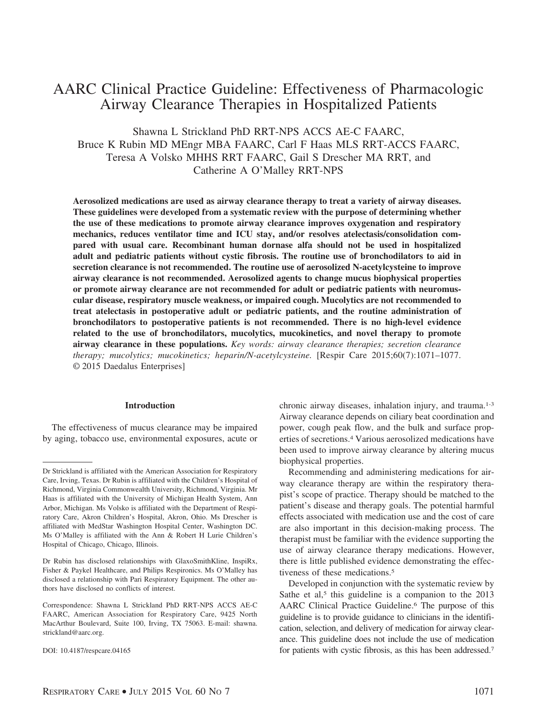# AARC Clinical Practice Guideline: Effectiveness of Pharmacologic Airway Clearance Therapies in Hospitalized Patients

Shawna L Strickland PhD RRT-NPS ACCS AE-C FAARC, Bruce K Rubin MD MEngr MBA FAARC, Carl F Haas MLS RRT-ACCS FAARC, Teresa A Volsko MHHS RRT FAARC, Gail S Drescher MA RRT, and Catherine A O'Malley RRT-NPS

**Aerosolized medications are used as airway clearance therapy to treat a variety of airway diseases. These guidelines were developed from a systematic review with the purpose of determining whether the use of these medications to promote airway clearance improves oxygenation and respiratory mechanics, reduces ventilator time and ICU stay, and/or resolves atelectasis/consolidation compared with usual care. Recombinant human dornase alfa should not be used in hospitalized adult and pediatric patients without cystic fibrosis. The routine use of bronchodilators to aid in secretion clearance is not recommended. The routine use of aerosolized N-acetylcysteine to improve airway clearance is not recommended. Aerosolized agents to change mucus biophysical properties or promote airway clearance are not recommended for adult or pediatric patients with neuromuscular disease, respiratory muscle weakness, or impaired cough. Mucolytics are not recommended to treat atelectasis in postoperative adult or pediatric patients, and the routine administration of bronchodilators to postoperative patients is not recommended. There is no high-level evidence related to the use of bronchodilators, mucolytics, mucokinetics, and novel therapy to promote airway clearance in these populations.** *Key words: airway clearance therapies; secretion clearance therapy; mucolytics; mucokinetics; heparin/N-acetylcysteine.* [Respir Care 2015;60(7):1071–1077. © 2015 Daedalus Enterprises]

### **Introduction**

The effectiveness of mucus clearance may be impaired by aging, tobacco use, environmental exposures, acute or

DOI: 10.4187/respcare.04165

chronic airway diseases, inhalation injury, and trauma.1-3 Airway clearance depends on ciliary beat coordination and power, cough peak flow, and the bulk and surface properties of secretions.4 Various aerosolized medications have been used to improve airway clearance by altering mucus biophysical properties.

Recommending and administering medications for airway clearance therapy are within the respiratory therapist's scope of practice. Therapy should be matched to the patient's disease and therapy goals. The potential harmful effects associated with medication use and the cost of care are also important in this decision-making process. The therapist must be familiar with the evidence supporting the use of airway clearance therapy medications. However, there is little published evidence demonstrating the effectiveness of these medications.<sup>5</sup>

Developed in conjunction with the systematic review by Sathe et al,<sup>5</sup> this guideline is a companion to the  $2013$ AARC Clinical Practice Guideline.<sup>6</sup> The purpose of this guideline is to provide guidance to clinicians in the identification, selection, and delivery of medication for airway clearance. This guideline does not include the use of medication for patients with cystic fibrosis, as this has been addressed.7

Dr Strickland is affiliated with the American Association for Respiratory Care, Irving, Texas. Dr Rubin is affiliated with the Children's Hospital of Richmond, Virginia Commonwealth University, Richmond, Virginia. Mr Haas is affiliated with the University of Michigan Health System, Ann Arbor, Michigan. Ms Volsko is affiliated with the Department of Respiratory Care, Akron Children's Hospital, Akron, Ohio. Ms Drescher is affiliated with MedStar Washington Hospital Center, Washington DC. Ms O'Malley is affiliated with the Ann & Robert H Lurie Children's Hospital of Chicago, Chicago, Illinois.

Dr Rubin has disclosed relationships with GlaxoSmithKline, InspiRx, Fisher & Paykel Healthcare, and Philips Respironics. Ms O'Malley has disclosed a relationship with Pari Respiratory Equipment. The other authors have disclosed no conflicts of interest.

Correspondence: Shawna L Strickland PhD RRT-NPS ACCS AE-C FAARC, American Association for Respiratory Care, 9425 North MacArthur Boulevard, Suite 100, Irving, TX 75063. E-mail: shawna. strickland@aarc.org.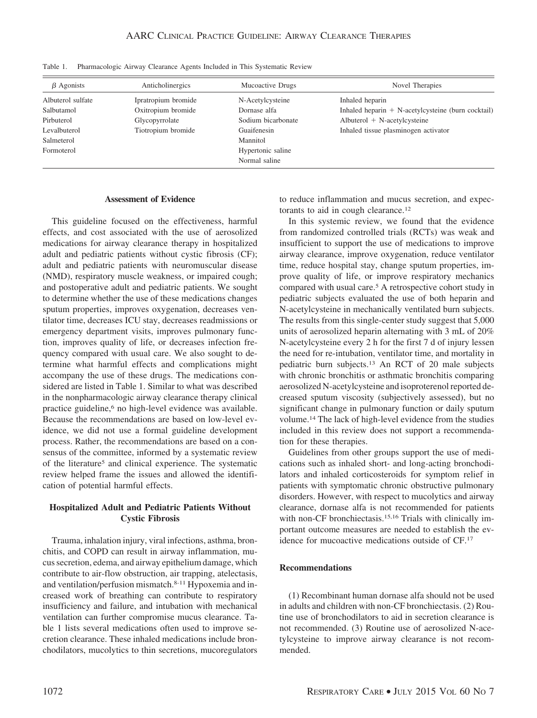| $\beta$ Agonists  | Anticholinergics    | Mucoactive Drugs   | Novel Therapies                                      |  |
|-------------------|---------------------|--------------------|------------------------------------------------------|--|
| Albuterol sulfate | Ipratropium bromide | N-Acetylcysteine   | Inhaled heparin                                      |  |
| Salbutamol        | Oxitropium bromide  | Dornase alfa       | Inhaled heparin $+$ N-acetylcysteine (burn cocktail) |  |
| Pirbuterol        | Glycopyrrolate      | Sodium bicarbonate | Albuterol $+$ N-acetylcysteine                       |  |
| Levalbuterol      | Tiotropium bromide  | Guaifenesin        | Inhaled tissue plasminogen activator                 |  |
| Salmeterol        |                     | Mannitol           |                                                      |  |
| Formoterol        |                     | Hypertonic saline  |                                                      |  |
|                   |                     | Normal saline      |                                                      |  |

Table 1. Pharmacologic Airway Clearance Agents Included in This Systematic Review

### **Assessment of Evidence**

This guideline focused on the effectiveness, harmful effects, and cost associated with the use of aerosolized medications for airway clearance therapy in hospitalized adult and pediatric patients without cystic fibrosis (CF); adult and pediatric patients with neuromuscular disease (NMD), respiratory muscle weakness, or impaired cough; and postoperative adult and pediatric patients. We sought to determine whether the use of these medications changes sputum properties, improves oxygenation, decreases ventilator time, decreases ICU stay, decreases readmissions or emergency department visits, improves pulmonary function, improves quality of life, or decreases infection frequency compared with usual care. We also sought to determine what harmful effects and complications might accompany the use of these drugs. The medications considered are listed in Table 1. Similar to what was described in the nonpharmacologic airway clearance therapy clinical practice guideline,<sup>6</sup> no high-level evidence was available. Because the recommendations are based on low-level evidence, we did not use a formal guideline development process. Rather, the recommendations are based on a consensus of the committee, informed by a systematic review of the literature<sup>5</sup> and clinical experience. The systematic review helped frame the issues and allowed the identification of potential harmful effects.

### **Hospitalized Adult and Pediatric Patients Without Cystic Fibrosis**

Trauma, inhalation injury, viral infections, asthma, bronchitis, and COPD can result in airway inflammation, mucus secretion, edema, and airway epithelium damage, which contribute to air-flow obstruction, air trapping, atelectasis, and ventilation/perfusion mismatch.8-11 Hypoxemia and increased work of breathing can contribute to respiratory insufficiency and failure, and intubation with mechanical ventilation can further compromise mucus clearance. Table 1 lists several medications often used to improve secretion clearance. These inhaled medications include bronchodilators, mucolytics to thin secretions, mucoregulators to reduce inflammation and mucus secretion, and expectorants to aid in cough clearance.<sup>12</sup>

In this systemic review, we found that the evidence from randomized controlled trials (RCTs) was weak and insufficient to support the use of medications to improve airway clearance, improve oxygenation, reduce ventilator time, reduce hospital stay, change sputum properties, improve quality of life, or improve respiratory mechanics compared with usual care.5 A retrospective cohort study in pediatric subjects evaluated the use of both heparin and N-acetylcysteine in mechanically ventilated burn subjects. The results from this single-center study suggest that 5,000 units of aerosolized heparin alternating with 3 mL of 20% N-acetylcysteine every 2 h for the first 7 d of injury lessen the need for re-intubation, ventilator time, and mortality in pediatric burn subjects.13 An RCT of 20 male subjects with chronic bronchitis or asthmatic bronchitis comparing aerosolized N-acetylcysteine and isoproterenol reported decreased sputum viscosity (subjectively assessed), but no significant change in pulmonary function or daily sputum volume.14 The lack of high-level evidence from the studies included in this review does not support a recommendation for these therapies.

Guidelines from other groups support the use of medications such as inhaled short- and long-acting bronchodilators and inhaled corticosteroids for symptom relief in patients with symptomatic chronic obstructive pulmonary disorders. However, with respect to mucolytics and airway clearance, dornase alfa is not recommended for patients with non-CF bronchiectasis.<sup>15,16</sup> Trials with clinically important outcome measures are needed to establish the evidence for mucoactive medications outside of CF.17

## **Recommendations**

(1) Recombinant human dornase alfa should not be used in adults and children with non-CF bronchiectasis. (2) Routine use of bronchodilators to aid in secretion clearance is not recommended. (3) Routine use of aerosolized N-acetylcysteine to improve airway clearance is not recommended.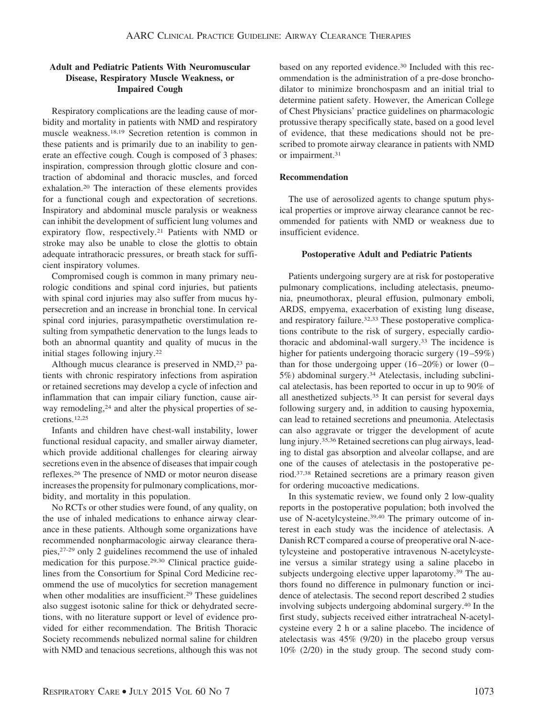# **Adult and Pediatric Patients With Neuromuscular Disease, Respiratory Muscle Weakness, or Impaired Cough**

Respiratory complications are the leading cause of morbidity and mortality in patients with NMD and respiratory muscle weakness.18,19 Secretion retention is common in these patients and is primarily due to an inability to generate an effective cough. Cough is composed of 3 phases: inspiration, compression through glottic closure and contraction of abdominal and thoracic muscles, and forced exhalation.20 The interaction of these elements provides for a functional cough and expectoration of secretions. Inspiratory and abdominal muscle paralysis or weakness can inhibit the development of sufficient lung volumes and expiratory flow, respectively.21 Patients with NMD or stroke may also be unable to close the glottis to obtain adequate intrathoracic pressures, or breath stack for sufficient inspiratory volumes.

Compromised cough is common in many primary neurologic conditions and spinal cord injuries, but patients with spinal cord injuries may also suffer from mucus hypersecretion and an increase in bronchial tone. In cervical spinal cord injuries, parasympathetic overstimulation resulting from sympathetic denervation to the lungs leads to both an abnormal quantity and quality of mucus in the initial stages following injury.22

Although mucus clearance is preserved in NMD,<sup>23</sup> patients with chronic respiratory infections from aspiration or retained secretions may develop a cycle of infection and inflammation that can impair ciliary function, cause airway remodeling,<sup>24</sup> and alter the physical properties of secretions.12,25

Infants and children have chest-wall instability, lower functional residual capacity, and smaller airway diameter, which provide additional challenges for clearing airway secretions even in the absence of diseases that impair cough reflexes.26 The presence of NMD or motor neuron disease increases the propensity for pulmonary complications, morbidity, and mortality in this population.

No RCTs or other studies were found, of any quality, on the use of inhaled medications to enhance airway clearance in these patients. Although some organizations have recommended nonpharmacologic airway clearance therapies,27-29 only 2 guidelines recommend the use of inhaled medication for this purpose.<sup>29,30</sup> Clinical practice guidelines from the Consortium for Spinal Cord Medicine recommend the use of mucolytics for secretion management when other modalities are insufficient.<sup>29</sup> These guidelines also suggest isotonic saline for thick or dehydrated secretions, with no literature support or level of evidence provided for either recommendation. The British Thoracic Society recommends nebulized normal saline for children with NMD and tenacious secretions, although this was not based on any reported evidence.30 Included with this recommendation is the administration of a pre-dose bronchodilator to minimize bronchospasm and an initial trial to determine patient safety. However, the American College of Chest Physicians' practice guidelines on pharmacologic protussive therapy specifically state, based on a good level of evidence, that these medications should not be prescribed to promote airway clearance in patients with NMD or impairment.<sup>31</sup>

## **Recommendation**

The use of aerosolized agents to change sputum physical properties or improve airway clearance cannot be recommended for patients with NMD or weakness due to insufficient evidence.

# **Postoperative Adult and Pediatric Patients**

Patients undergoing surgery are at risk for postoperative pulmonary complications, including atelectasis, pneumonia, pneumothorax, pleural effusion, pulmonary emboli, ARDS, empyema, exacerbation of existing lung disease, and respiratory failure.<sup>32,33</sup> These postoperative complications contribute to the risk of surgery, especially cardiothoracic and abdominal-wall surgery.33 The incidence is higher for patients undergoing thoracic surgery (19–59%) than for those undergoing upper  $(16-20\%)$  or lower  $(0-$ 5%) abdominal surgery.34 Atelectasis, including subclinical atelectasis, has been reported to occur in up to 90% of all anesthetized subjects.35 It can persist for several days following surgery and, in addition to causing hypoxemia, can lead to retained secretions and pneumonia. Atelectasis can also aggravate or trigger the development of acute lung injury.35,36 Retained secretions can plug airways, leading to distal gas absorption and alveolar collapse, and are one of the causes of atelectasis in the postoperative period.37,38 Retained secretions are a primary reason given for ordering mucoactive medications.

In this systematic review, we found only 2 low-quality reports in the postoperative population; both involved the use of N-acetylcysteine.39,40 The primary outcome of interest in each study was the incidence of atelectasis. A Danish RCT compared a course of preoperative oral N-acetylcysteine and postoperative intravenous N-acetylcysteine versus a similar strategy using a saline placebo in subjects undergoing elective upper laparotomy.<sup>39</sup> The authors found no difference in pulmonary function or incidence of atelectasis. The second report described 2 studies involving subjects undergoing abdominal surgery.40 In the first study, subjects received either intratracheal N-acetylcysteine every 2 h or a saline placebo. The incidence of atelectasis was 45% (9/20) in the placebo group versus 10% (2/20) in the study group. The second study com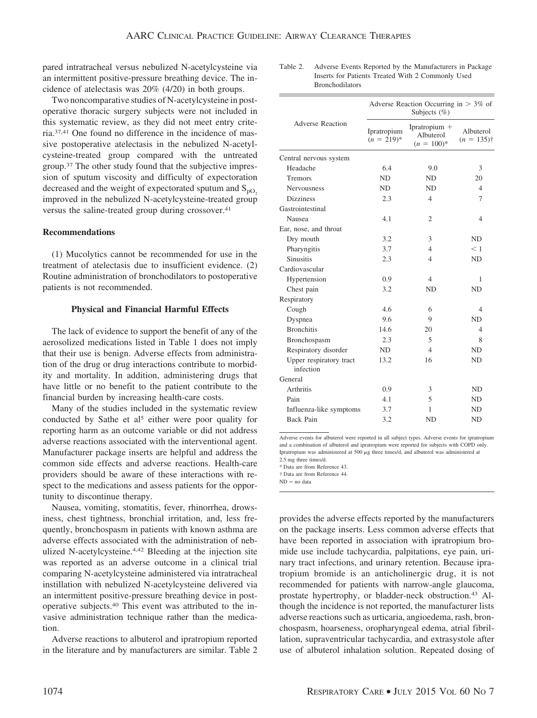pared intratracheal versus nebulized N-acetylcysteine via an intermittent positive-pressure breathing device. The incidence of atelectasis was 20% (4/20) in both groups.

Two noncomparative studies of N-acetylcysteine in postoperative thoracic surgery subjects were not included in this systematic review, as they did not meet entry criteria.37,41 One found no difference in the incidence of massive postoperative atelectasis in the nebulized N-acetylcysteine-treated group compared with the untreated group.37 The other study found that the subjective impression of sputum viscosity and difficulty of expectoration decreased and the weight of expectorated sputum and  $S_{pQ_2}$ improved in the nebulized N-acetylcysteine-treated group versus the saline-treated group during crossover.41

### **Recommendations**

(1) Mucolytics cannot be recommended for use in the treatment of atelectasis due to insufficient evidence. (2) Routine administration of bronchodilators to postoperative patients is not recommended.

### **Physical and Financial Harmful Effects**

The lack of evidence to support the benefit of any of the aerosolized medications listed in Table 1 does not imply that their use is benign. Adverse effects from administration of the drug or drug interactions contribute to morbidity and mortality. In addition, administering drugs that have little or no benefit to the patient contribute to the financial burden by increasing health-care costs.

Many of the studies included in the systematic review conducted by Sathe et al<sup>5</sup> either were poor quality for reporting harm as an outcome variable or did not address adverse reactions associated with the interventional agent. Manufacturer package inserts are helpful and address the common side effects and adverse reactions. Health-care providers should be aware of these interactions with respect to the medications and assess patients for the opportunity to discontinue therapy.

Nausea, vomiting, stomatitis, fever, rhinorrhea, drowsiness, chest tightness, bronchial irritation, and, less frequently, bronchospasm in patients with known asthma are adverse effects associated with the administration of nebulized N-acetylcysteine.4,42 Bleeding at the injection site was reported as an adverse outcome in a clinical trial comparing N-acetylcysteine administered via intratracheal instillation with nebulized N-acetylcysteine delivered via an intermittent positive-pressure breathing device in postoperative subjects.40 This event was attributed to the invasive administration technique rather than the medication.

Adverse reactions to albuterol and ipratropium reported in the literature and by manufacturers are similar. Table 2

| Table 2. | Adverse Events Reported by the Manufacturers in Package |
|----------|---------------------------------------------------------|
|          | Inserts for Patients Treated With 2 Commonly Used       |
|          | <b>Bronchodilators</b>                                  |

|                         | Adverse Reaction Occurring in $> 3\%$ of<br>Subjects $(\%)$ |                                               |                            |  |
|-------------------------|-------------------------------------------------------------|-----------------------------------------------|----------------------------|--|
| <b>Adverse Reaction</b> | Ipratropium<br>$(n = 219)^{*}$                              | Ipratropium $+$<br>Albuterol<br>$(n = 100)^*$ | Albuterol<br>$(n = 135)$ † |  |
| Central nervous system  |                                                             |                                               |                            |  |
| Headache                | 6.4                                                         | 9.0                                           | 3                          |  |
| <b>Tremors</b>          | <b>ND</b>                                                   | <b>ND</b>                                     | 20                         |  |
| Nervousness             | ND.                                                         | <b>ND</b>                                     | 4                          |  |
| <b>Dizziness</b>        | 2.3                                                         | $\overline{4}$                                | 7                          |  |
| Gastrointestinal        |                                                             |                                               |                            |  |
| Nausea                  | 4.1                                                         | $\overline{2}$                                | 4                          |  |
| Ear, nose, and throat   |                                                             |                                               |                            |  |
| Dry mouth               | 3.2                                                         | 3                                             | ND.                        |  |
| Pharyngitis             | 3.7                                                         | 4                                             | < 1                        |  |
| <b>Sinusitis</b>        | 2.3                                                         | $\overline{4}$                                | ND.                        |  |
| Cardiovascular          |                                                             |                                               |                            |  |
| Hypertension            | 0.9                                                         | 4                                             | 1                          |  |
| Chest pain              | 3.2                                                         | <b>ND</b>                                     | <b>ND</b>                  |  |
| Respiratory             |                                                             |                                               |                            |  |
| Cough                   | 4.6                                                         | 6                                             | 4                          |  |
| Dyspnea                 | 9.6                                                         | 9                                             | <b>ND</b>                  |  |
| <b>Bronchitis</b>       | 14.6                                                        | 20                                            | 4                          |  |
| Bronchospasm            | 2.3                                                         | 5                                             | 8                          |  |
| Respiratory disorder    | ND.                                                         | $\overline{4}$                                | ND.                        |  |
| Upper respiratory tract | 13.2                                                        | 16                                            | <b>ND</b>                  |  |
| infection               |                                                             |                                               |                            |  |
| General                 |                                                             |                                               |                            |  |
| Arthritis               | 0.9                                                         | 3                                             | <b>ND</b>                  |  |
| Pain                    | 4.1                                                         | 5                                             | <b>ND</b>                  |  |
| Influenza-like symptoms | 3.7                                                         | 1                                             | ND.                        |  |
| Back Pain               | 3.2                                                         | <b>ND</b>                                     | <b>ND</b>                  |  |

Adverse events for albuterol were reported in all subject types. Adverse events for ipratropium and a combination of albuterol and ipratropium were reported for subjects with COPD only. Ipratropium was administered at 500  $\mu$ g three times/d, and albuterol was administered at

2.5 mg three times/d.

\* Data are from Reference 43.

† Data are from Reference 44.

 $ND = no data$ 

provides the adverse effects reported by the manufacturers on the package inserts. Less common adverse effects that have been reported in association with ipratropium bromide use include tachycardia, palpitations, eye pain, urinary tract infections, and urinary retention. Because ipratropium bromide is an anticholinergic drug, it is not recommended for patients with narrow-angle glaucoma, prostate hypertrophy, or bladder-neck obstruction.43 Although the incidence is not reported, the manufacturer lists adverse reactions such as urticaria, angioedema, rash, bronchospasm, hoarseness, oropharyngeal edema, atrial fibrillation, supraventricular tachycardia, and extrasystole after use of albuterol inhalation solution. Repeated dosing of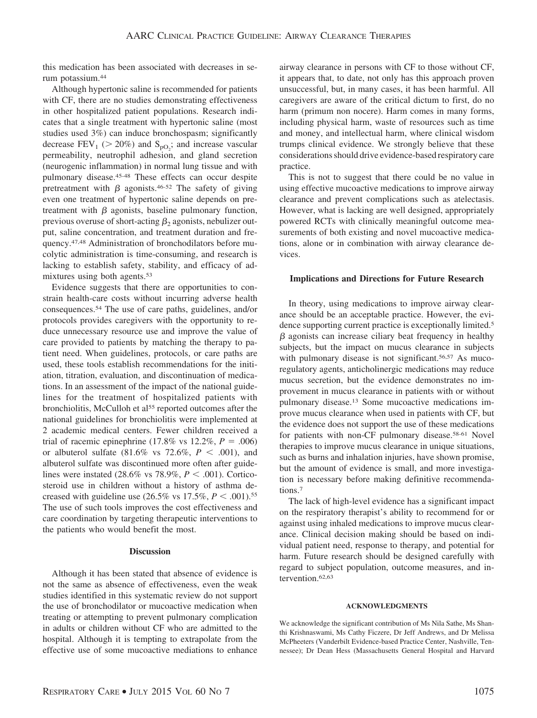this medication has been associated with decreases in serum potassium.44

Although hypertonic saline is recommended for patients with CF, there are no studies demonstrating effectiveness in other hospitalized patient populations. Research indicates that a single treatment with hypertonic saline (most studies used 3%) can induce bronchospasm; significantly decrease  $FEV_1$  ( $> 20\%$ ) and  $S_{pQ_2}$ ; and increase vascular permeability, neutrophil adhesion, and gland secretion (neurogenic inflammation) in normal lung tissue and with pulmonary disease.45-48 These effects can occur despite pretreatment with  $\beta$  agonists.<sup>46-52</sup> The safety of giving even one treatment of hypertonic saline depends on pretreatment with  $\beta$  agonists, baseline pulmonary function, previous overuse of short-acting  $\beta_2$  agonists, nebulizer output, saline concentration, and treatment duration and frequency.47,48 Administration of bronchodilators before mucolytic administration is time-consuming, and research is lacking to establish safety, stability, and efficacy of admixtures using both agents.<sup>53</sup>

Evidence suggests that there are opportunities to constrain health-care costs without incurring adverse health consequences.54 The use of care paths, guidelines, and/or protocols provides caregivers with the opportunity to reduce unnecessary resource use and improve the value of care provided to patients by matching the therapy to patient need. When guidelines, protocols, or care paths are used, these tools establish recommendations for the initiation, titration, evaluation, and discontinuation of medications. In an assessment of the impact of the national guidelines for the treatment of hospitalized patients with bronchiolitis, McCulloh et al<sup>55</sup> reported outcomes after the national guidelines for bronchiolitis were implemented at 2 academic medical centers. Fewer children received a trial of racemic epinephrine (17.8% vs 12.2%,  $P = .006$ ) or albuterol sulfate  $(81.6\% \text{ vs } 72.6\%, P < .001)$ , and albuterol sulfate was discontinued more often after guidelines were instated  $(28.6\% \text{ vs } 78.9\%, P < .001)$ . Corticosteroid use in children without a history of asthma decreased with guideline use  $(26.5\% \text{ vs } 17.5\%, P < .001).^{55}$ The use of such tools improves the cost effectiveness and care coordination by targeting therapeutic interventions to the patients who would benefit the most.

#### **Discussion**

Although it has been stated that absence of evidence is not the same as absence of effectiveness, even the weak studies identified in this systematic review do not support the use of bronchodilator or mucoactive medication when treating or attempting to prevent pulmonary complication in adults or children without CF who are admitted to the hospital. Although it is tempting to extrapolate from the effective use of some mucoactive mediations to enhance

airway clearance in persons with CF to those without CF, it appears that, to date, not only has this approach proven unsuccessful, but, in many cases, it has been harmful. All caregivers are aware of the critical dictum to first, do no harm (primum non nocere). Harm comes in many forms, including physical harm, waste of resources such as time and money, and intellectual harm, where clinical wisdom trumps clinical evidence. We strongly believe that these considerations should drive evidence-based respiratory care practice.

This is not to suggest that there could be no value in using effective mucoactive medications to improve airway clearance and prevent complications such as atelectasis. However, what is lacking are well designed, appropriately powered RCTs with clinically meaningful outcome measurements of both existing and novel mucoactive medications, alone or in combination with airway clearance devices.

#### **Implications and Directions for Future Research**

In theory, using medications to improve airway clearance should be an acceptable practice. However, the evidence supporting current practice is exceptionally limited.5  $\beta$  agonists can increase ciliary beat frequency in healthy subjects, but the impact on mucus clearance in subjects with pulmonary disease is not significant.<sup>56,57</sup> As mucoregulatory agents, anticholinergic medications may reduce mucus secretion, but the evidence demonstrates no improvement in mucus clearance in patients with or without pulmonary disease.13 Some mucoactive medications improve mucus clearance when used in patients with CF, but the evidence does not support the use of these medications for patients with non-CF pulmonary disease.<sup>58-61</sup> Novel therapies to improve mucus clearance in unique situations, such as burns and inhalation injuries, have shown promise, but the amount of evidence is small, and more investigation is necessary before making definitive recommendations.7

The lack of high-level evidence has a significant impact on the respiratory therapist's ability to recommend for or against using inhaled medications to improve mucus clearance. Clinical decision making should be based on individual patient need, response to therapy, and potential for harm. Future research should be designed carefully with regard to subject population, outcome measures, and intervention.62,63

#### **ACKNOWLEDGMENTS**

We acknowledge the significant contribution of Ms Nila Sathe, Ms Shanthi Krishnaswami, Ms Cathy Ficzere, Dr Jeff Andrews, and Dr Melissa McPheeters (Vanderbilt Evidence-based Practice Center, Nashville, Tennessee); Dr Dean Hess (Massachusetts General Hospital and Harvard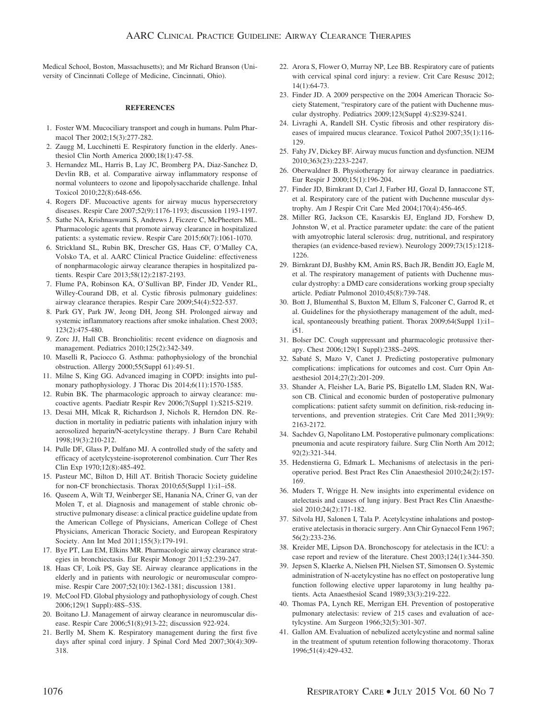Medical School, Boston, Massachusetts); and Mr Richard Branson (University of Cincinnati College of Medicine, Cincinnati, Ohio).

#### **REFERENCES**

- 1. Foster WM. Mucociliary transport and cough in humans. Pulm Pharmacol Ther 2002;15(3):277-282.
- 2. Zaugg M, Lucchinetti E. Respiratory function in the elderly. Anesthesiol Clin North America 2000;18(1):47-58.
- 3. Hernandez ML, Harris B, Lay JC, Bromberg PA, Diaz-Sanchez D, Devlin RB, et al. Comparative airway inflammatory response of normal volunteers to ozone and lipopolysaccharide challenge. Inhal Toxicol 2010;22(8):648-656.
- 4. Rogers DF. Mucoactive agents for airway mucus hypersecretory diseases. Respir Care 2007;52(9):1176-1193; discussion 1193-1197.
- 5. Sathe NA, Krishnaswami S, Andrews J, Ficzere C, McPheeters ML. Pharmacologic agents that promote airway clearance in hospitalized patients: a systematic review. Respir Care 2015;60(7):1061-1070.
- 6. Strickland SL, Rubin BK, Drescher GS, Haas CF, O'Malley CA, Volsko TA, et al. AARC Clinical Practice Guideline: effectiveness of nonpharmacologic airway clearance therapies in hospitalized patients. Respir Care 2013;58(12):2187-2193.
- 7. Flume PA, Robinson KA, O'Sullivan BP, Finder JD, Vender RL, Willey-Courand DB, et al. Cystic fibrosis pulmonary guidelines: airway clearance therapies. Respir Care 2009;54(4):522-537.
- 8. Park GY, Park JW, Jeong DH, Jeong SH. Prolonged airway and systemic inflammatory reactions after smoke inhalation. Chest 2003; 123(2):475-480.
- 9. Zorc JJ, Hall CB. Bronchiolitis: recent evidence on diagnosis and management. Pediatrics 2010;125(2):342-349.
- 10. Maselli R, Paciocco G. Asthma: pathophysiology of the bronchial obstruction. Allergy 2000;55(Suppl 61):49-51.
- 11. Milne S, King GG. Advanced imaging in COPD: insights into pulmonary pathophysiology. J Thorac Dis 2014;6(11):1570-1585.
- 12. Rubin BK. The pharmacologic approach to airway clearance: mucoactive agents. Paediatr Respir Rev 2006;7(Suppl 1):S215-S219.
- 13. Desai MH, Mlcak R, Richardson J, Nichols R, Herndon DN. Reduction in mortality in pediatric patients with inhalation injury with aerosolized heparin/N-acetylcystine therapy. J Burn Care Rehabil 1998;19(3):210-212.
- 14. Pulle DF, Glass P, Dulfano MJ. A controlled study of the safety and efficacy of acetylcysteine-isoproterenol combination. Curr Ther Res Clin Exp 1970;12(8):485-492.
- 15. Pasteur MC, Bilton D, Hill AT. British Thoracic Society guideline for non-CF bronchiectasis. Thorax 2010;65(Suppl 1):i1–i58.
- 16. Qaseem A, Wilt TJ, Weinberger SE, Hanania NA, Criner G, van der Molen T, et al. Diagnosis and management of stable chronic obstructive pulmonary disease: a clinical practice guideline update from the American College of Physicians, American College of Chest Physicians, American Thoracic Society, and European Respiratory Society. Ann Int Med 2011;155(3):179-191.
- 17. Bye PT, Lau EM, Elkins MR. Pharmacologic airway clearance strategies in bronchiectasis. Eur Respir Monogr 2011;52:239-247.
- 18. Haas CF, Loik PS, Gay SE. Airway clearance applications in the elderly and in patients with neurologic or neuromuscular compromise. Respir Care 2007;52(10):1362-1381; discussion 1381.
- 19. McCool FD. Global physiology and pathophysiology of cough. Chest 2006;129(1 Suppl):48S–53S.
- 20. Boitano LJ. Management of airway clearance in neuromuscular disease. Respir Care 2006;51(8);913-22; discussion 922-924.
- 21. Berlly M, Shem K. Respiratory management during the first five days after spinal cord injury. J Spinal Cord Med 2007;30(4):309- 318.
- 22. Arora S, Flower O, Murray NP, Lee BB. Respiratory care of patients with cervical spinal cord injury: a review. Crit Care Resusc 2012; 14(1):64-73.
- 23. Finder JD. A 2009 perspective on the 2004 American Thoracic Society Statement, "respiratory care of the patient with Duchenne muscular dystrophy. Pediatrics 2009;123(Suppl 4):S239-S241.
- 24. Livraghi A, Randell SH. Cystic fibrosis and other respiratory diseases of impaired mucus clearance. Toxicol Pathol 2007;35(1):116- 129.
- 25. Fahy JV, Dickey BF. Airway mucus function and dysfunction. NEJM 2010;363(23):2233-2247.
- 26. Oberwaldner B. Physiotherapy for airway clearance in paediatrics. Eur Respir J 2000;15(1):196-204.
- 27. Finder JD, Birnkrant D, Carl J, Farber HJ, Gozal D, Iannaccone ST, et al. Respiratory care of the patient with Duchenne muscular dystrophy. Am J Respir Crit Care Med 2004;170(4):456-465.
- 28. Miller RG, Jackson CE, Kasarskis EJ, England JD, Forshew D, Johnston W, et al. Practice parameter update: the care of the patient with amyotrophic lateral sclerosis: drug, nutritional, and respiratory therapies (an evidence-based review). Neurology 2009;73(15):1218- 1226.
- 29. Birnkrant DJ, Bushby KM, Amin RS, Bach JR, Benditt JO, Eagle M, et al. The respiratory management of patients with Duchenne muscular dystrophy: a DMD care considerations working group specialty article. Pediatr Pulmonol 2010;45(8):739-748.
- 30. Bott J, Blumenthal S, Buxton M, Ellum S, Falconer C, Garrod R, et al. Guidelines for the physiotherapy management of the adult, medical, spontaneously breathing patient. Thorax 2009;64(Suppl 1):i1– i51.
- 31. Bolser DC. Cough suppressant and pharmacologic protussive therapy. Chest 2006;129(1 Suppl):238S–249S.
- 32. Sabaté S, Mazo V, Canet J. Predicting postoperative pulmonary complications: implications for outcomes and cost. Curr Opin Anaesthesiol 2014;27(2):201-209.
- 33. Shander A, Fleisher LA, Barie PS, Bigatello LM, Sladen RN, Watson CB. Clinical and economic burden of postoperative pulmonary complications: patient safety summit on definition, risk-reducing interventions, and prevention strategies. Crit Care Med 2011;39(9): 2163-2172.
- 34. Sachdev G, Napolitano LM. Postoperative pulmonary complications: pneumonia and acute respiratory failure. Surg Clin North Am 2012; 92(2):321-344.
- 35. Hedenstierna G, Edmark L. Mechanisms of atelectasis in the perioperative period. Best Pract Res Clin Anaesthesiol 2010;24(2):157- 169.
- 36. Muders T, Wrigge H. New insights into experimental evidence on atelectasis and causes of lung injury. Best Pract Res Clin Anaesthesiol 2010;24(2):171-182.
- 37. Silvola HJ, Salonen I, Tala P. Acetylcystine inhalations and postoperative atelectasis in thoracic surgery. Ann Chir Gynaecol Fenn 1967; 56(2):233-236.
- 38. Kreider ME, Lipson DA. Bronchoscopy for atelectasis in the ICU: a case report and review of the literature. Chest 2003;124(1):344-350.
- 39. Jepsen S, Klaerke A, Nielsen PH, Nielsen ST, Simonsen O. Systemic administration of N-acetylcystine has no effect on postoperative lung function following elective upper laparotomy in lung healthy patients. Acta Anaesthesiol Scand 1989;33(3):219-222.
- 40. Thomas PA, Lynch RE, Merrigan EH. Prevention of postoperative pulmonary atelectasis: review of 215 cases and evaluation of acetylcystine. Am Surgeon 1966;32(5):301-307.
- 41. Gallon AM. Evaluation of nebulized acetylcystine and normal saline in the treatment of sputum retention following thoracotomy. Thorax 1996;51(4):429-432.